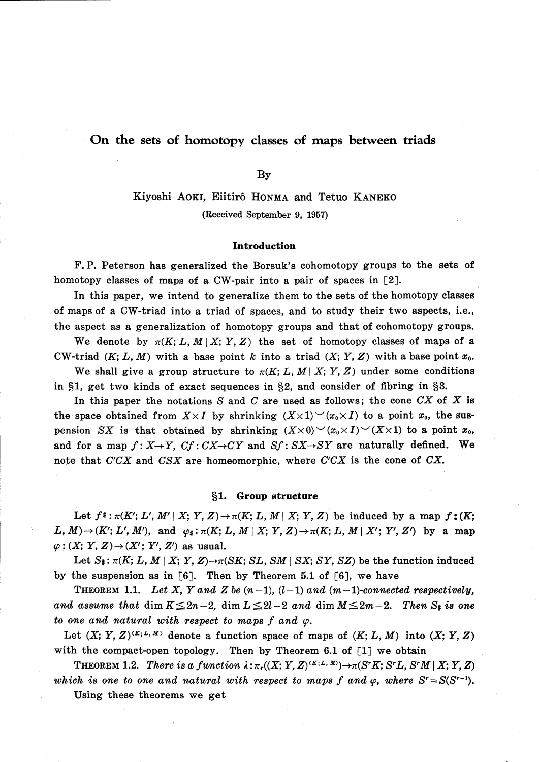# On the sets of homotopy classes of maps between triads

By

# Kiyoshi AOKI, Eiitirô HONMA and Tetuo KANEKO (Received September 9, 1957)

### Introduction

F. P. Peterson has generalized the Borsuk's cohomotopy groups to the sets of homotopy classes of maps of a CW-pair into a pair of spaces in [2].

In this paper, we intend to generalize them to the sets of the homotopy classes of maps of a CW-triad into a triad of spaces, and to study their two aspects, i.e., the aspect as a generalization of homotopy groups and that of cohomotopy groups.

We denote by  $\pi(K;L, M|X;Y, Z)$  the set of homotopy classes of maps of a CW-triad  $(K; L, M)$  with a base point k into a triad  $(X; Y, Z)$  with a base point  $x_{0}$ .

We shall give a group structure to  $\pi(K;L, M|X;Y, Z)$  under some conditions in  $\S 1$ , get two kinds of exact sequences in  $\S 2$ , and consider of fibring in  $\S 3$ .

In this paper the notations  $S$  and  $C$  are used as follows; the cone  $CX$  of  $X$  is the space obtained from  $X\times I$  by shrinking  $(X\times 1) \vee (x_{0}\times I)$  to a point  $x_{0}$ , the suspension SX is that obtained by shrinking  $(X\times 0) \vee (x_{0}\times I) \vee (X\times 1)$  to a point  $x_{0}$ , and for a map  $f: X \rightarrow Y$ ,  $Cf: CX \rightarrow CY$  and  $Sf: SX \rightarrow SY$  are naturally defined. We note that  $C^{\prime}CX$  and  $CSX$  are homeomorphic, where  $C^{\prime}CX$  is the cone of  $CX$ .

# \S 1. Group structure

Let  $f^{\sharp}:\pi(K^{\prime};L^{\prime}, M^{\prime} | X; Y, Z)\rightarrow\pi(K; L, M | X; Y, Z)$  be induced by a map  $f:(K;$  $L, M) \rightarrow (K^{\prime}; L^{\prime}, M^{\prime})$ , and  $\varphi_{\#} : \pi(K; L, M \mid X; Y, Z) \rightarrow \pi(K; L, M \mid X^{\prime} ; Y^{\prime}, Z^{\prime})$  by a map  $\varphi:(X;Y, Z)\rightarrow(X^{\prime}; Y^{\prime}, Z^{\prime})$  as usual.

Let  $S_{\#} : \pi(K;L, M \mid X;Y,Z) \rightarrow \pi(SK;SL, SM \mid SX;SY, SZ)$  be the function induced by the suspension as in  $[6]$ . Then by Theorem 5.1 of  $[6]$ , we have

THEOREM 1.1. Let X, Y and Z be  $(n-1)$ ,  $(l-1)$  and  $(m-1)$ -connected respectively, and assume that  $\dim K\leq 2n-2$ ,  $\dim L\leq 2l-2$  and  $\dim M\leq 2m-2$ . Then  $S_{\#}$  is one to one and natural with respect to maps  $f$  and  $\varphi$ .

Let  $(X; Y, Z)^{(K; L, M)}$  denote a function space of maps of  $(K; L, M)$  into  $(X; Y, Z)$ with the compact-open topology. Then by Theorem 6.1 of [1] we obtain

THEOREM 1.2. There is a function  $\lambda:\pi_{r}((X;Y, Z)^{(K;L,M)})\rightarrow\pi(S^{r}K; S^{r}L, S^{r}M|X;Y, Z)$ which is one to one and natural with respect to maps f and  $\varphi$ , where  $S^{r}=S(S^{r-1})$ .

Using these theorems we get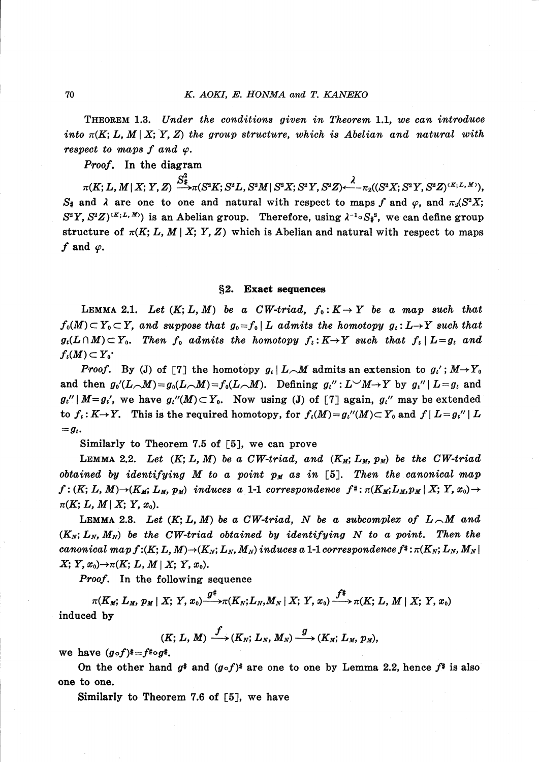THEOREM 1.3. Under the conditions given in Theorem 1.1, we can introduce into  $\pi(K; L, M | X; Y, Z)$  the group structure, which is Abelian and natural with respect to maps f and  $\varphi$ .

Proof. In the diagram

 $\pi(K;L, M\,|\,X; \,Y,Z) \stackrel{\mathbf{S} \ast}{\longrightarrow} \pi(S^{2}K;S^{2}L, S^{2}M|\,S^{2}X;S^{2}Y,S^{2}Z)$ < $\stackrel{\mathcal{A}}{\longleftarrow} \pi_{2}((S^{2}X;S^{2}Y,S^{2}Z)^{\cdot(K;L, \,M)}),$  $S_{t}$  and  $\lambda$  are one to one and natural with respect to maps f and  $\varphi$ , and  $\pi_{2}(S^{2}X;$  $S^{2}Y, S^{2}Z)^{(K;L,M)}$  is an Abelian group. Therefore, using  $\lambda^{-1}\circ S_{\#}^{2}$ , we can define group structure of  $\pi(K;L, M|X;Y, Z)$  which is Abelian and natural with respect to maps f and  $\varphi$ .

## \S 2. Exact sequences

LEMMA 2.1. Let  $(K; L, M)$  be a CW-triad,  $f_{0}: K \rightarrow Y$  be a map such that  $f_{0}(M)\subset Y_{0}\subset Y$ , and suppose that  $g_{0}=f_{0}|L$  admits the homotopy  $g_{t}: L\rightarrow Y$  such that  $g_{t}(L\cap M)\subset Y_{0}.$  Then  $f_{0}$  admits the homotopy  $f_{t}: K\rightarrow Y$  such that  $f_{t}\mid L=g_{t}$  and  $f_{t}(M)\subset Y_{0}$ <sup>\*</sup>

*Proof.* By (J) of [7] the homotopy  $g_{t}|L_{\sim}M$  admits an extension to  $g_{t}^{\prime}$ ;  $M\rightarrow Y_{0}$ and then  $g_{0}^{\prime\prime}(L_{\frown}M)$  =  $g_{0}(L_{\frown}M)$  =  $f_{0}(L_{\frown}M)$ . Defining  $g_{t}^{\prime\prime}: L^{\frown}M{\rightarrow}Y$  by  $g_{t}^{\prime\prime}\mid L=g_{t}$  and  $g_{t}^{\prime\prime}|M=g_{t}^{\prime},$  we have  $g_{t}^{\prime\prime}(M)\subset Y_{0}$ . Now using (J) of [7] again,  $g_{t}^{\prime\prime}$  may be extended to  $f_{t}$ :  $K\rightarrow Y$ . This is the required homotopy, for  $f_{t}(M)=g_{t}^{\prime\prime}(M)\subset Y_{0}$  and  $f|L=g_{t}^{\prime\prime}|L$  $= g_{t}$ .

Similarly to Theorem 7.5 of [5], we can prove

LEMMA 2.2. Let  $(K;L, M)$  be a CW-triad, and  $(K_{M};L_{M}, p_{M})$  be the CW-triad obtained by identifying M to a point  $p_{M}$  as in [5]. Then the canonical map  $f:(K;L, M)\rightarrow(K_{M};L_{M}, p_{M})$  induces a 1-1 correspondence  $f\ddagger:\pi(K_{M};L_{M},p_{M}|X;Y, x_{0})\rightarrow$  $\pi(K; L, M \,|\, X; Y, x_{0}).$ 

LEMMA 2.3. Let  $(K;L, M)$  be a CW-triad, N be a subcomplex of  $L_{\cal{M}}$  and  $(K_{N};L_{N}, M_{N})$  be the CW-triad obtained by identifying N to a point. Then the canonical map  $f:(K;L, M)\rightarrow(K_{N};L_{N}, M_{N})$  induces a 1-1 correspondence  $f^{*}$ :  $\pi(K_{N};L_{N}, M_{N}|$  $X; Y, x_{0} \rightarrow \pi(K; L, M | X; Y, x_{0})$  .

Proof. In the following sequence

 $\pi(K_{M};L_{M}, p_{M}|X;Y, x_{0})\rightarrow\pi(K_{N};L_{N},M_{N}|X;Y, x_{0})\rightarrow\pi(K;L, M\mid X;Y, x_{0})$ induced by

$$
(K; L, M) \xrightarrow{f} (K_N; L_N, M_N) \xrightarrow{g} (K_M; L_M, p_M),
$$

we have  $(g\circ f)^* = f^* \circ g^*$ .

On the other hand  $g^{\ast}$  and  $(g\circ f)^{\ast}$  are one to one by Lemma 2.2, hence  $f^{\ast}$  is also one to one.

Similarly to Theorem 7.6 of [5], we have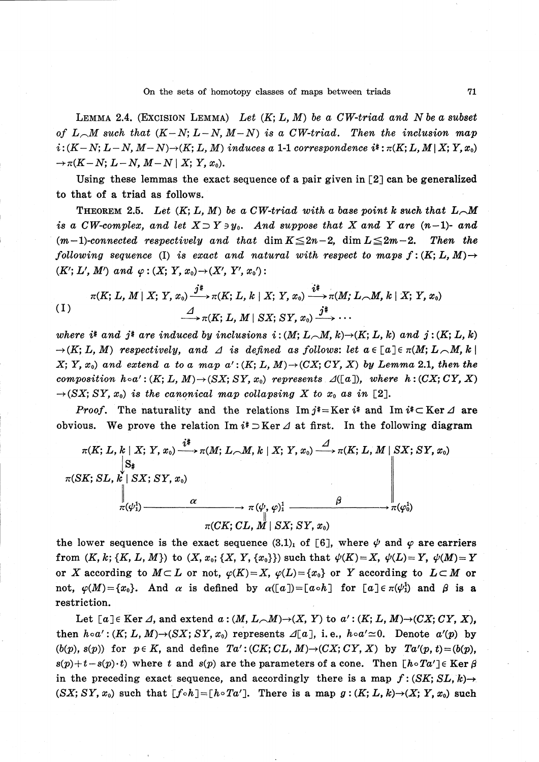LEMMA 2.4. (EXCISION LEMMA) Let  $(K;L, M)$  be a CW-triad and N be a subset of  $L_{\cal{A}}M$  such that  $(K-N;L-N, M-N)$  is a CW-triad. Then the inclusion map  $i:(K-N;L-N, M-N)\rightarrow(K;L, M)$  induces a 1-1 correspondence  $i:\pi(K;L, M|X;Y, x_{0})$  $\rightarrow \pi(K-N;L-N, M-N|X;Y, x_{0}).$ 

Using these lemmas the exact sequence of a pair given in [2] can be generalized to that of a triad as follows.

THEOREM 2.5. Let  $(K;L, M)$  be a CW-triad with a base point k such that  $L_{\sim}M$ is a CW-complex, and let  $X \supset Y \ni y_{0}.$  And suppose that  $X$  and  $Y$  are  $(n-1)$ - and  $(m-1)$ -connected respectively and that  $\dim K \leq 2n-2$ ,  $\dim L \leq 2m-2$ . Then the following sequence (I) is exact and natural with respect to maps  $f:(K;L,M)\rightarrow$  $(K^{\prime};L^{\prime}, M^{\prime})$  and  $\varphi:(X;Y, x_{0})\rightarrow(X^{\prime}, Y^{\prime}, x_{0}^{\prime}):$ 

$$
\pi(K; L, M \mid X; Y, x_0) \xrightarrow{j^*} \pi(K; L, k \mid X; Y, x_0) \xrightarrow{i^*} \pi(M; L \cap M, k \mid X; Y, x_0)
$$
\n
$$
\xrightarrow{\Delta} \pi(K; L, M \mid SX; SY, x_0) \xrightarrow{j^*} \cdots
$$

where  $i^*$  and  $j^*$  are induced by inclusions  $i:(M;L_{\sim}M, k)\rightarrow(K;L, k)$  and  $j:(K;L, k)$  $\rightarrow(K;L, M)$  respectively, and  $\Delta$  is defined as follows: let  $a\in[a]\in\pi(M;L_{\triangle}M, k]$  $X;Y, x_{0}$  and extend a to a map  $a^{\prime}$  :  $(K;L, M)\rightarrow(CX;CY, X)$  by Lemma 2.1, then the composition  $h\circ a^{\prime}$  :  $(K;L, M)\rightarrow(SX;SY, x_{0})$  represents  $\Delta([a])$ , where  $h:(CX;CY, X)$  $\rightarrow$  (SX; SY, x<sub>0</sub>) is the canonical map collapsing X to  $x_{0}$  as in [2].

*Proof.* The naturality and the relations  ${\rm Im} j\ast = {\rm Ker} i\ast$  and  ${\rm Im} i\ast \subset {\rm Ker}\,\varDelta$  are obvious. We prove the relation Im  $i\text{*}$   $\supset$  Ker  $\Delta$  at first. In the following diagram



the lower sequence is the exact sequence  $(3.1)_{1}$  of [6], where  $\psi$  and  $\varphi$  are carriers from  $(K, k;\{K, L, M\})$  to  $(X, x_{0};\{X, Y, \{x_{0}\}\})$  such that  $\psi(K)=X, \ \psi(L)=Y, \ \psi(M)=Y$ or X according to  $M\subset L$  or not,  $\varphi(K)=X, \varphi(L)=\{x_{0}\}$  or Y according to  $L\subset M$  or not,  $\varphi(M)=\{x_{0}\}.$  And  $\alpha$  is defined by  $\alpha([a])=[a\circ h]$  for  $[a]\in\pi(\varphi_{1}^{1})$  and  $\beta$  is a restriction.

Let  $[a]\in \text{Ker }\Delta$ , and extend  $a:(M, L_{\sim}M)\rightarrow(X, Y)$  to  $a^{\prime}:(K;L, M)\rightarrow(CX; CY, X)$ , then  $h \circ a^{\prime}$ :  $(K; L, M) \rightarrow (SX; SY, x_{0})$  represents  $\mathcal{A}[a]$ , i.e.,  $h \circ a^{\prime} \simeq 0$ . Denote  $a^{\prime}(p)$  by  $(b(p), s(p))$  for  $p\in K$ , and define  $Ta^{\prime}$ :  $(CK; CL, M)\rightarrow(CX; CY, X)$  by  $Ta^{\prime}(p, t)=(b(p),$  $s(p)+t-s(p)\cdot t$  where t and  $s(p)$  are the parameters of a cone. Then  $[h\circ Ta^{\prime}]\in \text{Ker}\,\beta$ in the preceding exact sequence, and accordingly there is a map  $f:(SK;SL, k) \rightarrow$  $(SX; SY, x_{0})$  such that  $[f\circ h]=[h\circ Ta^{\prime}]$ . There is a map  $g:(K; L, k)\rightarrow(X; Y, x_{0})$  such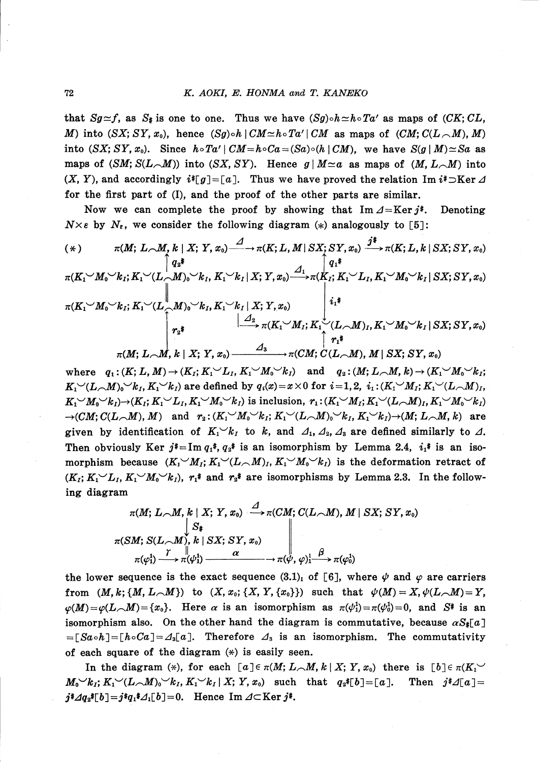that  $Sg\cong f$ , as  $S_{\sharp}$  is one to one. Thus we have  $(Sg)\circ h\simeq h\circ Ta^{\prime}$  as maps of  $(CK;CL,$ M) into  $(SX;SY, x_{0})$ , hence  $(Sg)\circ h|CM \simeq h\circ Ta^{\prime}|CM$  as maps of  $(CM; C(L_{\sim}M), M)$ into  $(SX;SY, x_{0})$ . Since  $h\circ Ta^{\prime}|CM=h\circ Ca=(Sa)\circ(h|CM)$ , we have  $S(g|M)\simeq Sa$  as maps of  $(SM; S(L_{\neg}M))$  into  $(SX, SY)$ . Hence  $g|M \simeq a$  as maps of  $(M, L_{\neg}M)$  into  $(X, Y)$ , and accordingly  $i\cdot [g]=[a]$ . Thus we have proved the relation Im  $i\cdot \infty$ Ker  $\Delta$ for the first part of (I), and the proof of the other parts are similar.

Now we can complete the proof by showing that  ${\rm Im}\,\Delta={\rm Ker}\,j\ddot*$  . Denoting  $N\times\epsilon$  by  $N_{\epsilon}$ , we consider the following diagram (\*) analogously to [5]:

$$
(\ast) \qquad \pi(M; L \sim M, k \mid X; Y, x_0) \xrightarrow{\mathcal{A}} \pi(K; L, M \mid SX; SY, x_0) \xrightarrow{\mathcal{I}^*} \pi(K; L, k \mid SX; SY, x_0)
$$
\n
$$
\uparrow q_2^*
$$
\n
$$
\pi(K_1 \vee M_0 \vee k_I; K_1 \vee (L \sim M_0 \vee k_I, K_1 \vee k_I | X; Y, x_0) \xrightarrow{\mathcal{A}_1} \pi(K_1; K_1 \vee L_I, K_1 \vee M_0 \vee k_I | SX; SY, x_0)
$$
\n
$$
\uparrow \pi(K_1 \vee M_0 \vee k_I; K_1 \vee (L \sim M_0 \vee k_I, K_1 \vee k_I | X; Y, x_0)
$$
\n
$$
\downarrow \downarrow \downarrow
$$
\n
$$
\uparrow \uparrow^*
$$
\n
$$
\uparrow \uparrow^*
$$
\n
$$
\pi(M; L \sim M, k \mid X; Y, x_0) \xrightarrow{\mathcal{A}_3} \pi(CM; C(L \sim M), M \mid SX; SY, x_0)
$$

where  $q_{1}: (K;L, M)\rightarrow(K_{I}; K_{1}^{\prime}\smile L_{I}, K_{1}^{\prime}\smile M_{0}^{\prime}\smile k_{I})$  and  $q_{2}: (M;L_{\sim}M, k)\rightarrow(K_{1}^{\prime}\smile M_{0}^{\prime}\smile k_{I};$  $K_{1}^{\omega}(L_{\sim}M_{0})\sigma_{k_{I}}, K_{1}^{\omega}(k_{I})$  are defined by  $q_{i}(x)=x\times 0$  for  $i=1,2, i_{1}:(K_{1}^{\omega}M_{I};K_{1}^{\omega}(L_{\sim}M)_{I},$  $K_{1}^{1}M_{0}^{1}W_{0}^{k}$   $\rightarrow$   $(K_{I}; K_{1}^{1}W_{I}, K_{1}^{1}W_{0}^{k}W_{I})$  is inclusion,  $r_{1}: (K_{1}^{1}M_{I}; K_{1}^{1}W_{I}, K_{1}^{1}W_{0}^{k}W_{I})$  $\rightarrow(CM;C(L_{\frown}M), M)$  and  $r_{2}: (K_{1}^{\prime} \sim M_{0}^{\prime} \sim k_{I}; K_{1}^{\prime} \sim (L_{\frown}M)_{0}^{\prime} \sim k_{I}, K_{1}^{\prime} \sim k_{I})\rightarrow(M;L_{\frown}M, k)$  are given by identification of  $K_{1}^{\searrow}k_{I}$  to  $k$ , and  $\varDelta_{1}$ ,  $\varDelta_{2}$ ,  $\varDelta_{3}$  are defined similarly to  $\varDelta$ . Then obviously Ker  $j^*$ =Im  $q_{1}\cdot q_{2}\cdot q_{3}\cdot s_{4}$  is an isomorphism by Lemma 2.4,  $i_{1}\cdot s_{1}\cdot s_{1}\cdot s_{1}\cdot s_{2}\cdot s_{1}$ morphism because  $(K_{1} M_{I}; K_{1} (L_{\neg M})_{I}, K_{1} M_{0} (L_{I})$  is the deformation retract of  $(K_{I}; K_{1}^{\prime} \vee L_{I}, K_{1}^{\prime} \vee M_{0}^{\prime} \vee k_{I}),$   $r_{1}\ast$  and  $r_{2}\ast$  are isomorphisms by Lemma 2.3. In the following diagram

$$
\pi(M; L \cap M, k \mid X; Y, x_0) \stackrel{\Delta}{\longrightarrow} \pi(CM; C(L \cap M), M \mid SX; SY, x_0) \n\downarrow S_*\n\pi(SM; S(L \cap M), k \mid SX; SY, x_0) \n\pi(\varphi_1^1) \stackrel{\gamma}{\longrightarrow} \pi(\psi_1^1) \stackrel{\alpha}{\longrightarrow} \pi(\psi, \varphi)_1^1 \stackrel{\beta}{\longrightarrow} \pi(\varphi_0^1)
$$

the lower sequence is the exact sequence  $(3.1)_{1}$  of [6], where  $\psi$  and  $\varphi$  are carriers from  $(M, k; \{M, L_{\sim}M\})$  to  $(X, x_{0};\{X, Y, \{x_{0}\}\})$  such that  $\psi(M)=X, \psi(L_{\sim}M)=Y,$  $\varphi(M)=\varphi(L_{\frown}M)=\{x_{0}\}.$  Here  $\alpha$  is an isomorphism as  $\pi(\psi_{1}^{1})=\pi(\psi_{0}^{1})=0$ , and  $S^*$  is an isomorphism also. On the other hand the diagram is commutative, because  $\alpha S_{\#}[a]$  $= [Sa\circ h]=[h\circ Ca]=\Delta_{3}[a]$ . Therefore  $\Delta_{3}$  is an isomorphism. The commutativity of each square of the diagram  $(*)$  is easily seen.

In the diagram (\*), for each  $[a]\in\pi(M;L_{\frown}M, k|X;Y, x_{0})$  there is  $[b]\in\pi(K_{1}^{\frown}M)$  $M_{0}^{\sigma}\gamma_{k_{I}}; K_{1}^{\sigma}\gamma_{L_{\sigma}}(L_{\sigma}M_{0})\gamma_{k_{I}}, K_{1}^{\sigma}\gamma_{k_{I}}|X; Y, x_{0}$  such that  $q_{2}\ast[b]=[a]$ . Then  $j\ast\Delta[a]=$  $j^*\mathcal{A}q_{2}^{\ast}[b]=j^{\ast}q_{1}^{\ast}\mathcal{A}_{1}[b]=0.$  Hence Im  $\mathcal{A}\subset$ Ker $j^{\ast}$ .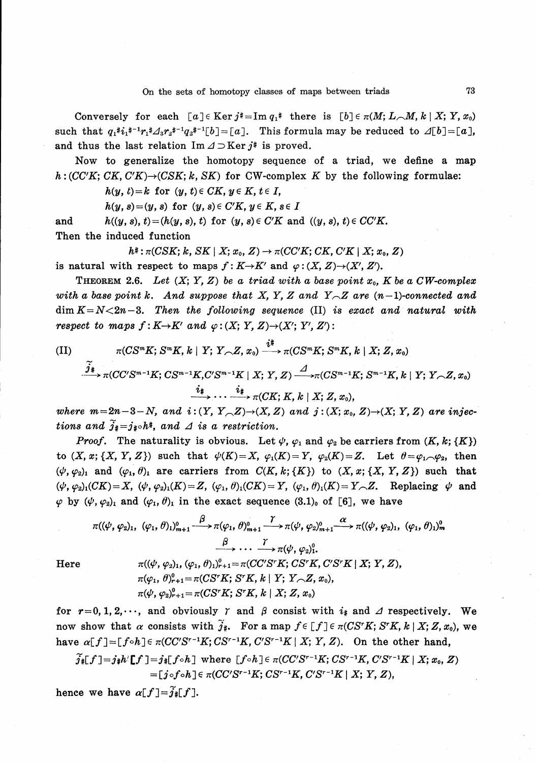Conversely for each  $[a]\in {\rm Ker}\, j*= {\rm Im} \, q_{1}\ast \text{ there is } [b]\in \pi(M;L_{\text{on}}M, k|X;Y, x_{0})$ such that  $q_{1}\ddot{*}i_{1}\ddot{*}^{-1}r_{1}\ddot{*}\Delta_{3}r_{2}\ddot{*}^{-1}q_{2}\ddot{*}^{-1}[b]=[a]$ . This formula may be reduced to  $\Delta[b]=[a]$ , and thus the last relation  ${\rm Im}\,\Delta\supset{\rm Ker}\,j^*$  is proved.

Now to generalize the homotopy sequence of a triad, we define a map  $h:(CC^{\prime}K;CK, C^{\prime}K)\rightarrow(CSK; k, SK)$  for CW-complex K by the following formulae:

 $h(y, t) = k$  for  $(y, t) \in CK, y \in K, t \in I$ ,

 $h(y, s)=(y, s)$  for  $(y, s)\in C^{\prime}K, y\in K, s\in I$ 

and  $h((y, s), t) = (h(y, s), t)$  for  $(y, s) \in C^{\prime}K$  and  $((y, s), t) \in CC^{\prime}K$ . Then the induced function

$$
h^* : \pi(CSK; k, SK \mid X; x_0, Z) \rightarrow \pi(CC'K; CK, C'K \mid X; x_0, Z)
$$

is natural with respect to maps  $f:K\rightarrow K^{\prime}$  and  $\varphi:(X, Z)\rightarrow(X^{\prime}, Z^{\prime}).$ 

THEOREM 2.6. Let  $(X; Y, Z)$  be a triad with a base point  $x_{0}$ , K be a CW-complex with a base point  $k.$  And suppose that  $X,$   $Y,$   $Z$  and  $\,Y{\sim}Z$  are  $(n-1){\cdot}connected$  and  $\dim K=N<2n-3$ . Then the following sequence (II) is exact and natural with respect to maps  $f: K\rightarrow K^{\prime}$  and  $\varphi:(X;Y, Z)\rightarrow(X^{\prime};Y^{\prime}, Z^{\prime})$ :

(II)  
\n
$$
\pi(CS^{m}K; S^{m}K, k \mid Y; Y \sim Z, x_{0}) \xrightarrow{i^{\frac{1}{4}}} \pi(CS^{m}K; S^{m}K, k \mid X; Z, x_{0})
$$
\n
$$
\xrightarrow{j_{\frac{1}{4}}} \pi(CC'S^{m-1}K; CS^{m-1}K, C'S^{m-1}K \mid X; Y, Z) \xrightarrow{d} \pi(CS^{m-1}K; S^{m-1}K, k \mid Y; Y \sim Z, x_{0})
$$
\n
$$
\xrightarrow{i_{\frac{1}{4}}} \cdots \xrightarrow{i_{\frac{1}{4}}} \pi(CK; K, k \mid X; Z, x_{0}),
$$

where  $m=2n-3-N$ , and  $i:(Y, Y_{\sim}(Z))\rightarrow(X, Z)$  and  $j:(X; x_{0}, Z)\rightarrow(X; Y, Z)$  are injections and  $\widetilde{j}_{\ddagger}=j_{\ddagger\circ}h^{\ddagger},$  and  $\varDelta$  is a restriction.

*Proof.* The naturality is obvious. Let  $\psi$ ,  $\varphi_{1}$  and  $\varphi_{2}$  be carriers from  $(K, k; \{K\})$ to  $(X, x; \{X, Y, Z\})$  such that  $\psi(K)=X, \varphi_{1}(K)=Y, \varphi_{2}(K)=Z$ . Let  $\theta=\varphi_{1\sim}\varphi_{2}$ , then  $(\psi, \varphi_{2})_{1}$  and  $(\varphi_{1}, \theta)_{1}$  are carriers from  $C(K, k;\{K\})$  to  $(X, x;\{X, Y, Z\})$  such that  $(\psi, \varphi_{2})_{1}(CK)=X, \ (\psi, \varphi_{2})_{1}(K)=Z, \ (\varphi_{1}, \theta)_{1}(CK)=Y, \ (\varphi_{1}, \theta)_{1}(K)=Y_{\sim}Z$ . Replacing  $\psi$  and  $\varphi$  by  $(\psi, \varphi_{2})_{1}$  and  $(\varphi_{1}, \theta)_{1}$  in the exact sequence  $(3.1)_{0}$  of [6], we have

$$
\pi((\psi, \varphi_2)_1, (\varphi_1, \theta)_1)_{m+1}^0 \xrightarrow{\beta} \pi(\varphi_1, \theta)_{m+1}^0 \xrightarrow{\gamma} \pi(\psi, \varphi_2)_{m+1}^0 \xrightarrow{\alpha} \pi((\psi, \varphi_2)_1, (\varphi_1, \theta)_1)_m^0
$$
\n
$$
\xrightarrow{\beta} \cdots \xrightarrow{\gamma} \pi(\psi, \varphi_2)_1^0.
$$
\nHere\n
$$
\pi((\psi, \varphi_2)_1, (\varphi_1, \theta)_1)_{r+1}^0 = \pi(CC'S^rK; CS^rK; CS^rK; C'S^rK | X; Y, Z),
$$
\n
$$
\pi(\varphi_1, \theta)_{r+1}^0 = \pi(C'S^rK; S^rK, k | Y; Y, Z, x_0),
$$
\n
$$
\pi(\psi, \varphi_2)_{r+1}^0 = \pi(C'S^rK; S^rK, k | X; Z, x_0)
$$

for  $r = 0, 1, 2, \dots$ , and obviously  $\gamma$  and  $\beta$  consist with  $i_{\#}$  and  $\Delta$  respectively. We now show that  $\alpha$  consists with  $\widetilde j_{\#}$ . For a map  $f\in\lbrack f]\in\pi(CS^{r}K;S^{r}K,$   $k\mid X;Z, x_{0}),$  we have  $\alpha[f]=[f\circ h]\in\pi(CC^{\prime}S^{r-1}K;CS^{r-1}K, C^{\prime}S^{r-1}K|X;Y, Z)$ . On the other hand,

$$
\widetilde{j}_{*}[f]=j_{*}h'[f]=j_{*}[f\circ h]\text{ where }[f\circ h]\in \pi (CC'S^{r-1}K; CS^{r-1}K; C'S^{r-1}K | X; x_0, Z) =[j\circ f\circ h]\in \pi (CC'S^{r-1}K; CS^{r-1}K; C'S^{r-1}K | X; Y, Z),
$$

hence we have  $\alpha[f]=\widetilde{j}_*[f].$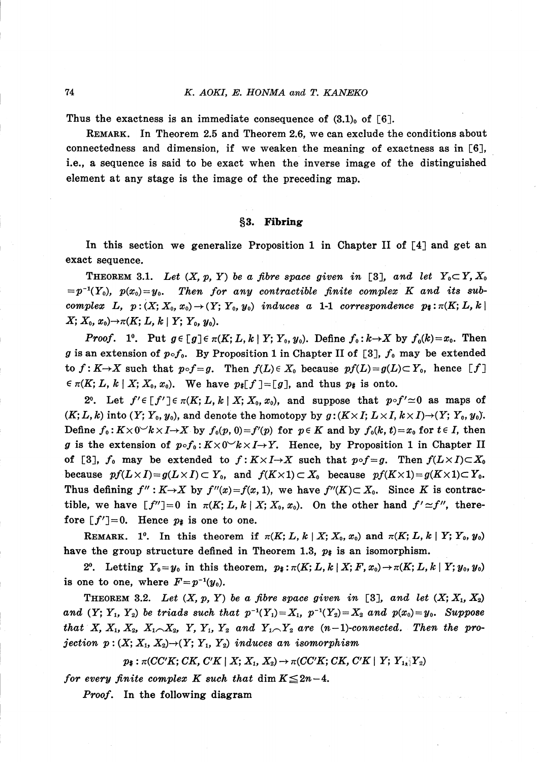Thus the exactness is an immediate consequence of  $(3.1)_{0}$  of [6].

REMARK. In Theorem 2.5 and Theorem 2.6, we can exclude the conditions about connectedness and dimension, if we weaken the meaning of exactness as in [6], i.e., a sequence is said to be exact when the inverse image of the distinguished element at any stage is the image of the preceding map.

# \S 3. Fibring

In this section we generalize Proposition 1 in Chapter II of  $\lceil 4 \rceil$  and get an exact sequence.

THEOREM 3.1. Let  $(X, p, Y)$  be a fibre space given in [3], and let  $Y_{0} \subset Y, X_{0}$  $p^{-1}(Y_{0}), p(x_{0})=y_{0}$ . Then for any contractible finite complex K and its subcomplex  $L, p:(X; X_{0}, x_{0})\rightarrow(Y; Y_{0}, y_{0})$  induces a 1-1 correspondence  $p_{\sharp}:\pi(K;L, k)$  $X; \, X_{0}, \, x_{0} ) {\rightarrow} \pi(K; \, L, \, k\mid Y; \, Y_{0}, \, y_{0}).$ 

*Proof.* 1°. Put  $g\in[g]\in\pi(K;L, k\mid Y; Y_{0}, y_{0})$ . Define  $f_{0}: k\rightarrow X$  by  $f_{0}(k)=x_{0}$ . Then g is an extension of  $p\circ f_{0}$ . By Proposition 1 in Chapter II of [3],  $f_{0}$  may be extended to  $f:K\rightarrow X$  such that  $p\circ f=g$ . Then  $f(L)\in X_{0}$  because  $pf(L)=g(L)\subset Y_{0}$ , hence  $[f]$  $\epsilon \pi(K;L, k|X;X_{0}, x_{0})$ . We have  $p_{*}[f]=[g]$ , and thus  $p_{*}$  is onto.

2°. Let  $f^{\prime}\in[f^{\prime}]\in\pi(K;L, k|X; X_{0}, x_{0}),$  and suppose that  $p\circ f^{\prime}\simeq 0$  as maps of  $(K;L, k)$  into  $(Y;Y_{0}, y_{0})$ , and denote the homotopy by  $g:(K\times I; L\times I, k\times I)\rightarrow(Y;Y_{0}, y_{0}).$ Define  $f_{0}: K\times 0^{\sim}k\times I\rightarrow X$  by  $f_{0}(p, 0)=f^{\prime}(p)$  for  $p\in K$  and by  $f_{0}(k, t)=x_{0}$  for  $t\in I$ , then g is the extension of  $p\circ f_{0} : K\times 0^{\infty}k\times I\rightarrow Y$ . Hence, by Proposition 1 in Chapter II of [3],  $f_{0}$  may be extended to  $f:K\times I\rightarrow X$  such that  $p\circ f=g$ . Then  $f(L\times I)\subset X_{0}$ because  $pf(L\times I)=g(L\times I)\subset Y_{0}$ , and  $f(K\times 1)\subset X_{0}$  because  $pf(K\times 1)=g(K\times 1)\subset Y_{0}$ . Thus defining  $f^{\prime\prime}: K \rightarrow X$  by  $f^{\prime\prime}(x)=f(x, 1)$ , we have  $f^{\prime\prime}(K) \subset X_{0}$ . Since K is contractible, we have  $[f^{\prime\prime}]=0$  in  $\pi(K;L, k | X; X_{0}, x_{0})$ . On the other hand  $f^{\prime} \simeq f^{\prime\prime}$ , therefore  $[f^{\prime}]=0$ . Hence  $p_{\sharp}$  is one to one.

REMARK. 1<sup>o</sup>. In this theorem if  $\pi(K;L, k | X; X_{0}, x_{0})$  and  $\pi(K;L, k | Y; Y_{0}, y_{0})$ have the group structure defined in Theorem 1.3,  $p_*$  is an isomorphism.

2<sup>o</sup>. Letting  $Y_{0}=y_{0}$  in this theorem,  $p_{\ddagger}:\pi(K;L, k|X;F, x_{0})\rightarrow\pi(K;L, k|Y; y_{0}, y_{0})$ is one to one, where  $F=p^{-1}(y_{0}).$ 

THEOREM 3.2. Let  $(X, p, Y)$  be a fibre space given in [3], and let  $(X; X_{1}, X_{2})$ and  $(Y; Y_{1}, Y_{2})$  be triads such that  $p^{-1}(Y_{1})=X_{1}$ ,  $p^{-1}(Y_{2})=X_{2}$  and  $p(x_{0})=y_{0}$ . Suppose that X,  $X_{1}, X_{2}, X_{1\sim}X_{2}, Y, Y_{1}, Y_{2}$  and  $Y_{1\sim}Y_{2}$  are  $(n-1)$ -connected. Then the projection  $p:(X; X_{1}, X_{2})\rightarrow(Y; Y_{1}, Y_{2})$  induces an isomorphism

 $p_{\ddagger}: \pi(CC^{\prime}K;CK, C^{\prime}K|X;X_{1}, X_{2})\rightarrow\pi(CC^{\prime}K;CK, C^{\prime}K|Y;Y_{1\chi}|Y_{2})$ 

for every finite complex K such that  $\dim K \leq 2n-4$ .

Proof. In the following diagram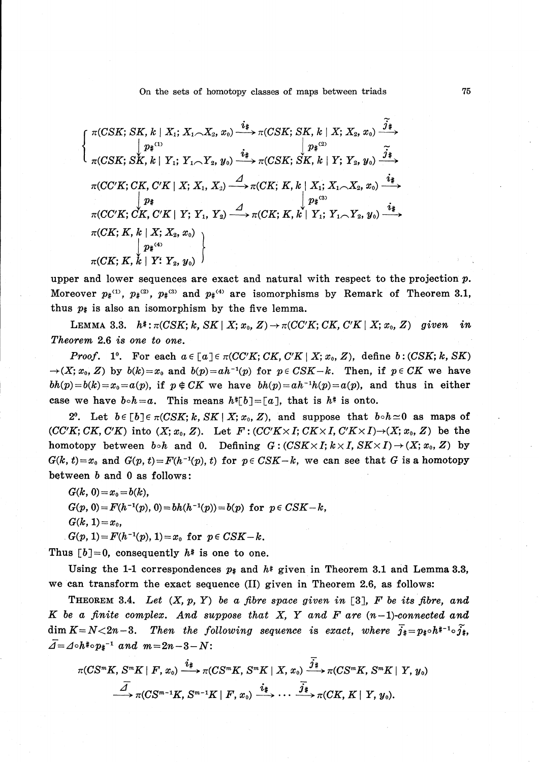On the sets of homotopy classes of maps between triads 75

$$
\begin{cases}\n\pi(CSK; SK, k \mid X_1; X_1 \sim X_2, x_0) \xrightarrow{\hat{i}^*} \pi(CSK; SK, k \mid X; X_2, x_0) \xrightarrow{\hat{j}^*} \\
\downarrow p^{*(1)} \\
\pi(CSK; SK, k \mid Y_1; Y_1 \sim Y_2, y_0) \xrightarrow{\hat{i}^*} \pi(CSK; SK, k \mid Y; Y_2, y_0) \xrightarrow{\hat{j}^*} \\
\pi(CCK; CK, C'K \mid X; X_1, X_2) \xrightarrow{\hat{A}} \pi(CK; K, k \mid X_1; X_1 \sim X_2, x_0) \xrightarrow{\hat{i}^*} \\
\downarrow p^* \\
\pi(CCK; CK, C'K \mid Y; Y_1, Y_2) \xrightarrow{\hat{A}} \pi(CK; K, k \mid Y_1; Y_1 \sim Y_2, y_0) \xrightarrow{\hat{i}^*} \\
\pi(CK; K, k \mid X; X_2, x_0) \\
\downarrow p^{*(4)} \\
\pi(CK; K, k \mid Y; Y_2, y_0)\n\end{cases}
$$

upper and lower sequences are exact and natural with respect to the projection  $p$ . Moreover  $p_{\sharp}^{(1)}, p_{\sharp}^{(2)}, p_{\sharp}^{(3)}$  and  $p_{\sharp}^{(4)}$  are isomorphisms by Remark of Theorem 3.1, thus  $p_{\sharp}$  is also an isomorphism by the five lemma.

LEMMA 3.3.  $h^*: \pi(CSK; k, SK | X; x_{0}, Z)\rightarrow\pi(CC^{\prime}K; CK, C^{\prime}K | X; x_{0}, Z)$  given in Theorem 2.6 is one to one.

*Proof.* 1°. For each  $a\in[a]\in\pi(CC^{\prime}K;CK, C^{\prime}K\mid X;x_{0}, Z)$ , define  $b:(CSK;k, SK)$  $\rightarrow (X; x_{0}, Z)$  by  $b(k)=x_{0}$  and  $b(p)=ah^{-1}(p)$  for  $p\in CSK-k$ . Then, if  $p\in CK$  we have  $bh(p)=b(k)=x_{0}=a(p)$ , if  $p\notin CK$  we have  $bh(p)=ah^{-1}h(p)=a(p)$ , and thus in either case we have  $b \circ h=a$ . This means  $h^{*}[b] = [a]$ , that is  $h^{*}$  is onto.

2<sup>o</sup>. Let  $b\in[b]\in\pi(CSK; k, SK\mid X; x_{0}, Z)$ , and suppose that  $b\circ h\simeq 0$  as maps of  $(CC^{\prime}K;CK, C^{\prime}K)$  into  $(X; x_{0}, Z)$ . Let  $F:(CC^{\prime}K\times I;CK\times I, C^{\prime}K\times I)\rightarrow(X; x_{0}, Z)$  be the homotopy between  $b\circ h$  and 0. Defining  $G:(CSK\times I; k\times I, SK\times I)\rightarrow (X; x_{0}, Z)$  by  $G(k, t)=x_{0}$  and  $G(p, t)=F(h^{-1}(p), t)$  for  $p\in CSK-k$ , we can see that G is a homotopy between  $b$  and  $0$  as follows:

$$
G(k, 0) = x_0 = b(k),
$$
  
\n
$$
G(p, 0) = F(h^{-1}(p), 0) = bh(h^{-1}(p)) = b(p) \text{ for } p \in CSK - k,
$$
  
\n
$$
G(k, 1) = x_0,
$$

 $sG(p, 1)=F(h^{-1}(p), 1)=x_{0}$  for  $p\in CSK-k$ .

Thus  $[b]=0$ , consequently  $h^*$  is one to one.

Using the 1-1 correspondences  $p_{\sharp}$  and  $h^*$  given in Theorem 3.1 and Lemma 3.3, we can transform the exact sequence (II) given in Theorem 2.6, as follows:

THEOREM 3.4. Let  $(X, p, Y)$  be a fibre space given in [3], F be its fibre, and  $K$  be a finite complex. And suppose that  $X$ ,  $Y$  and  $F$  are  $(n-1)$ -connected and  $\dim K=N\hspace{-0.05cm}<\hspace{-0.05cm} 2n-3.$  Then the following sequence is exact, where  $\overline{j}_{\#}$  =  $p_{\#} \circ h^{\ast -1}\circ \widetilde{j}_{\#}$ ,  $\overline{\Delta}= \Delta\circ h\dot{*}\circ p_{\ddot{z}}^{-1}$  and  $m=2n-3-N$ :

$$
\pi(CS^mK, S^mK \mid F, x_0) \xrightarrow{\hat{i}_{\#}} \pi(CS^mK, S^mK \mid X, x_0) \xrightarrow{\overline{\hat{j}_{\#}}} \pi(CS^mK, S^mK \mid Y, y_0)
$$
  

$$
\xrightarrow{\overline{A}} \pi(CS^{m-1}K, S^{m-1}K \mid F, x_0) \xrightarrow{\hat{i}_{\#}} \cdots \xrightarrow{\overline{\hat{j}_{\#}}} \pi(CK, K \mid Y, y_0).
$$